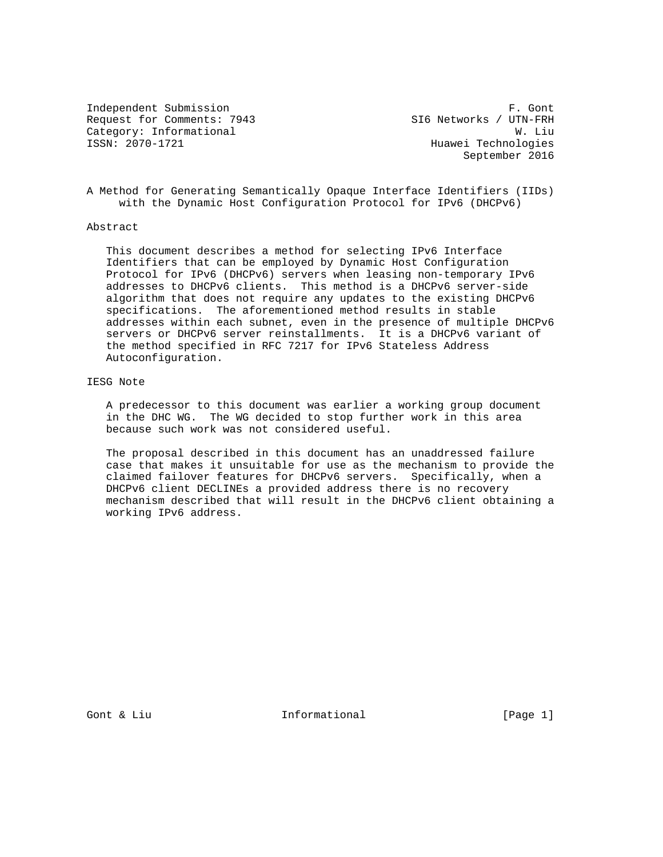Independent Submission **F. Gont** Request for Comments: 7943 SI6 Networks / UTN-FRH Category: Informational W. Liu<br>
ISSN: 2070-1721 Huawei Technologies

Huawei Technologies September 2016

A Method for Generating Semantically Opaque Interface Identifiers (IIDs) with the Dynamic Host Configuration Protocol for IPv6 (DHCPv6)

## Abstract

 This document describes a method for selecting IPv6 Interface Identifiers that can be employed by Dynamic Host Configuration Protocol for IPv6 (DHCPv6) servers when leasing non-temporary IPv6 addresses to DHCPv6 clients. This method is a DHCPv6 server-side algorithm that does not require any updates to the existing DHCPv6 specifications. The aforementioned method results in stable addresses within each subnet, even in the presence of multiple DHCPv6 servers or DHCPv6 server reinstallments. It is a DHCPv6 variant of the method specified in RFC 7217 for IPv6 Stateless Address Autoconfiguration.

# IESG Note

 A predecessor to this document was earlier a working group document in the DHC WG. The WG decided to stop further work in this area because such work was not considered useful.

 The proposal described in this document has an unaddressed failure case that makes it unsuitable for use as the mechanism to provide the claimed failover features for DHCPv6 servers. Specifically, when a DHCPv6 client DECLINEs a provided address there is no recovery mechanism described that will result in the DHCPv6 client obtaining a working IPv6 address.

Gont & Liu  $\qquad \qquad$  Informational [Page 1]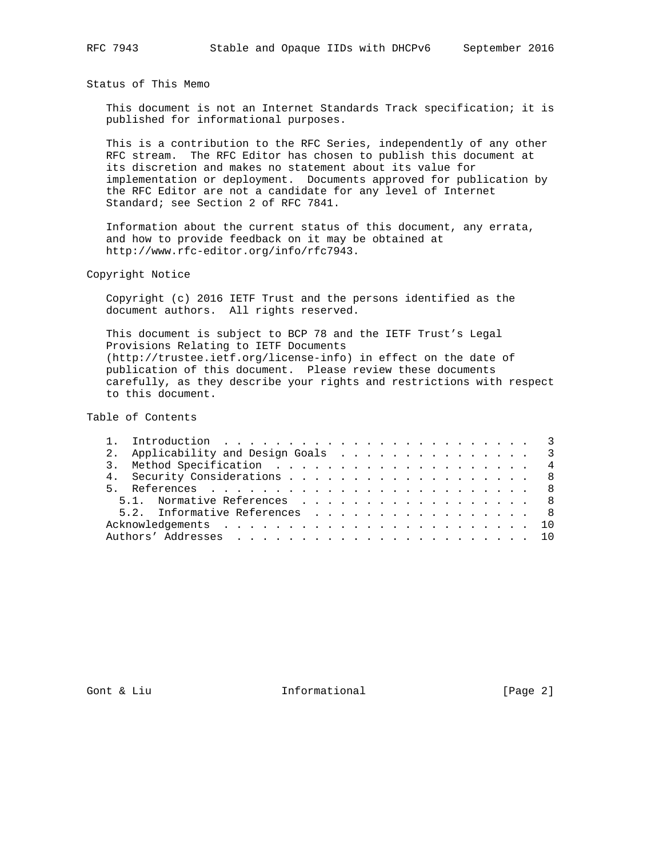Status of This Memo

 This document is not an Internet Standards Track specification; it is published for informational purposes.

 This is a contribution to the RFC Series, independently of any other RFC stream. The RFC Editor has chosen to publish this document at its discretion and makes no statement about its value for implementation or deployment. Documents approved for publication by the RFC Editor are not a candidate for any level of Internet Standard; see Section 2 of RFC 7841.

 Information about the current status of this document, any errata, and how to provide feedback on it may be obtained at http://www.rfc-editor.org/info/rfc7943.

Copyright Notice

 Copyright (c) 2016 IETF Trust and the persons identified as the document authors. All rights reserved.

 This document is subject to BCP 78 and the IETF Trust's Legal Provisions Relating to IETF Documents (http://trustee.ietf.org/license-info) in effect on the date of publication of this document. Please review these documents carefully, as they describe your rights and restrictions with respect to this document.

Table of Contents

|  | 2. Applicability and Design Goals 3 |  |  |  |  |  |  |  |  |
|--|-------------------------------------|--|--|--|--|--|--|--|--|
|  |                                     |  |  |  |  |  |  |  |  |
|  | 4. Security Considerations 8        |  |  |  |  |  |  |  |  |
|  |                                     |  |  |  |  |  |  |  |  |
|  | 5.1. Normative References 8         |  |  |  |  |  |  |  |  |
|  | 5.2. Informative References 8       |  |  |  |  |  |  |  |  |
|  |                                     |  |  |  |  |  |  |  |  |
|  |                                     |  |  |  |  |  |  |  |  |

Gont & Liu  $\qquad \qquad$  Informational [Page 2]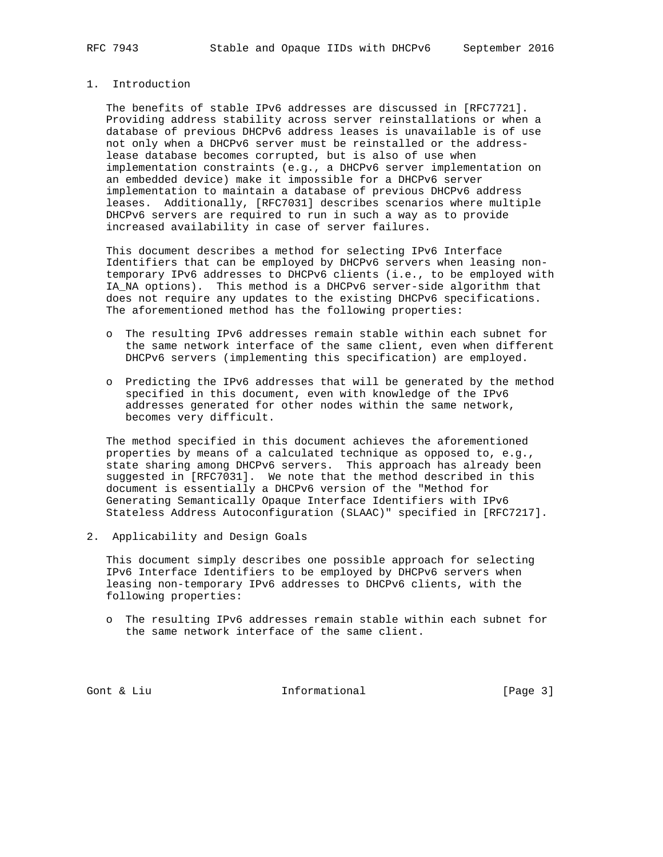# 1. Introduction

 The benefits of stable IPv6 addresses are discussed in [RFC7721]. Providing address stability across server reinstallations or when a database of previous DHCPv6 address leases is unavailable is of use not only when a DHCPv6 server must be reinstalled or the address lease database becomes corrupted, but is also of use when implementation constraints (e.g., a DHCPv6 server implementation on an embedded device) make it impossible for a DHCPv6 server implementation to maintain a database of previous DHCPv6 address leases. Additionally, [RFC7031] describes scenarios where multiple DHCPv6 servers are required to run in such a way as to provide increased availability in case of server failures.

 This document describes a method for selecting IPv6 Interface Identifiers that can be employed by DHCPv6 servers when leasing non temporary IPv6 addresses to DHCPv6 clients (i.e., to be employed with IA\_NA options). This method is a DHCPv6 server-side algorithm that does not require any updates to the existing DHCPv6 specifications. The aforementioned method has the following properties:

- o The resulting IPv6 addresses remain stable within each subnet for the same network interface of the same client, even when different DHCPv6 servers (implementing this specification) are employed.
- o Predicting the IPv6 addresses that will be generated by the method specified in this document, even with knowledge of the IPv6 addresses generated for other nodes within the same network, becomes very difficult.

 The method specified in this document achieves the aforementioned properties by means of a calculated technique as opposed to, e.g., state sharing among DHCPv6 servers. This approach has already been suggested in [RFC7031]. We note that the method described in this document is essentially a DHCPv6 version of the "Method for Generating Semantically Opaque Interface Identifiers with IPv6 Stateless Address Autoconfiguration (SLAAC)" specified in [RFC7217].

2. Applicability and Design Goals

 This document simply describes one possible approach for selecting IPv6 Interface Identifiers to be employed by DHCPv6 servers when leasing non-temporary IPv6 addresses to DHCPv6 clients, with the following properties:

 o The resulting IPv6 addresses remain stable within each subnet for the same network interface of the same client.

Gont & Liu  $\qquad \qquad$  Informational [Page 3]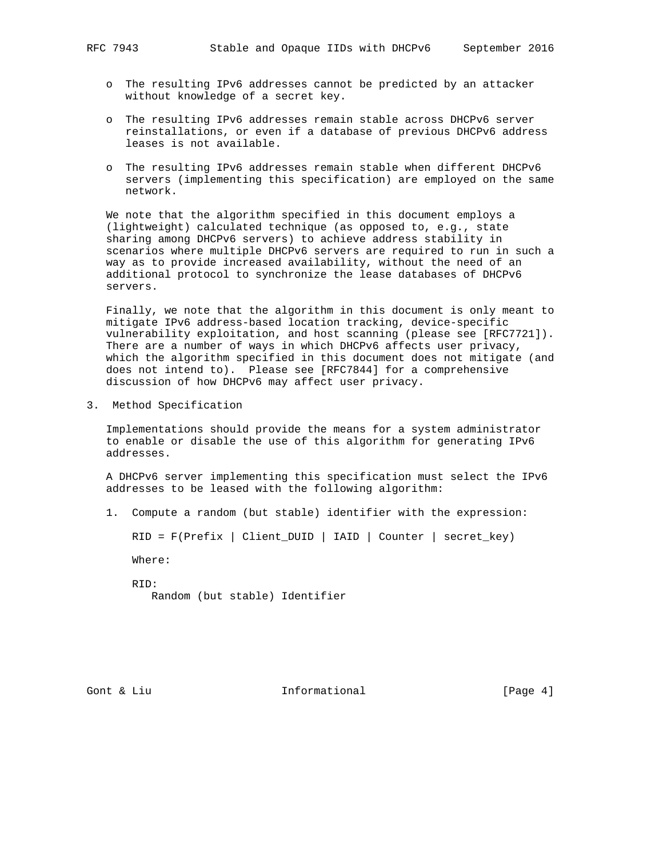- - o The resulting IPv6 addresses cannot be predicted by an attacker without knowledge of a secret key.
	- o The resulting IPv6 addresses remain stable across DHCPv6 server reinstallations, or even if a database of previous DHCPv6 address leases is not available.
	- o The resulting IPv6 addresses remain stable when different DHCPv6 servers (implementing this specification) are employed on the same network.

 We note that the algorithm specified in this document employs a (lightweight) calculated technique (as opposed to, e.g., state sharing among DHCPv6 servers) to achieve address stability in scenarios where multiple DHCPv6 servers are required to run in such a way as to provide increased availability, without the need of an additional protocol to synchronize the lease databases of DHCPv6 servers.

 Finally, we note that the algorithm in this document is only meant to mitigate IPv6 address-based location tracking, device-specific vulnerability exploitation, and host scanning (please see [RFC7721]). There are a number of ways in which DHCPv6 affects user privacy, which the algorithm specified in this document does not mitigate (and does not intend to). Please see [RFC7844] for a comprehensive discussion of how DHCPv6 may affect user privacy.

3. Method Specification

 Implementations should provide the means for a system administrator to enable or disable the use of this algorithm for generating IPv6 addresses.

 A DHCPv6 server implementing this specification must select the IPv6 addresses to be leased with the following algorithm:

1. Compute a random (but stable) identifier with the expression:

RID = F(Prefix | Client\_DUID | IAID | Counter | secret\_key)

Where:

 RID: Random (but stable) Identifier

Gont & Liu  $\qquad \qquad$  Informational [Page 4]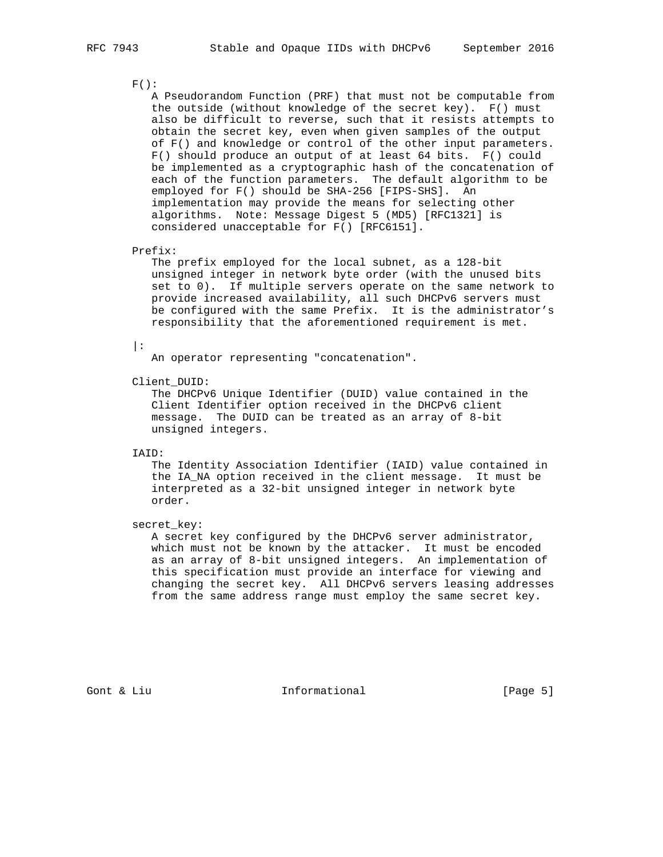### $F()$ :

 A Pseudorandom Function (PRF) that must not be computable from the outside (without knowledge of the secret key). F() must also be difficult to reverse, such that it resists attempts to obtain the secret key, even when given samples of the output of F() and knowledge or control of the other input parameters. F() should produce an output of at least 64 bits. F() could be implemented as a cryptographic hash of the concatenation of each of the function parameters. The default algorithm to be employed for F() should be SHA-256 [FIPS-SHS]. An implementation may provide the means for selecting other algorithms. Note: Message Digest 5 (MD5) [RFC1321] is considered unacceptable for F() [RFC6151].

#### Prefix:

 The prefix employed for the local subnet, as a 128-bit unsigned integer in network byte order (with the unused bits set to 0). If multiple servers operate on the same network to provide increased availability, all such DHCPv6 servers must be configured with the same Prefix. It is the administrator's responsibility that the aforementioned requirement is met.

 $|:$ 

An operator representing "concatenation".

#### Client\_DUID:

 The DHCPv6 Unique Identifier (DUID) value contained in the Client Identifier option received in the DHCPv6 client message. The DUID can be treated as an array of 8-bit unsigned integers.

### IAID:

 The Identity Association Identifier (IAID) value contained in the IA\_NA option received in the client message. It must be interpreted as a 32-bit unsigned integer in network byte order.

#### secret\_key:

 A secret key configured by the DHCPv6 server administrator, which must not be known by the attacker. It must be encoded as an array of 8-bit unsigned integers. An implementation of this specification must provide an interface for viewing and changing the secret key. All DHCPv6 servers leasing addresses from the same address range must employ the same secret key.

Gont & Liu  $\qquad \qquad$  Informational [Page 5]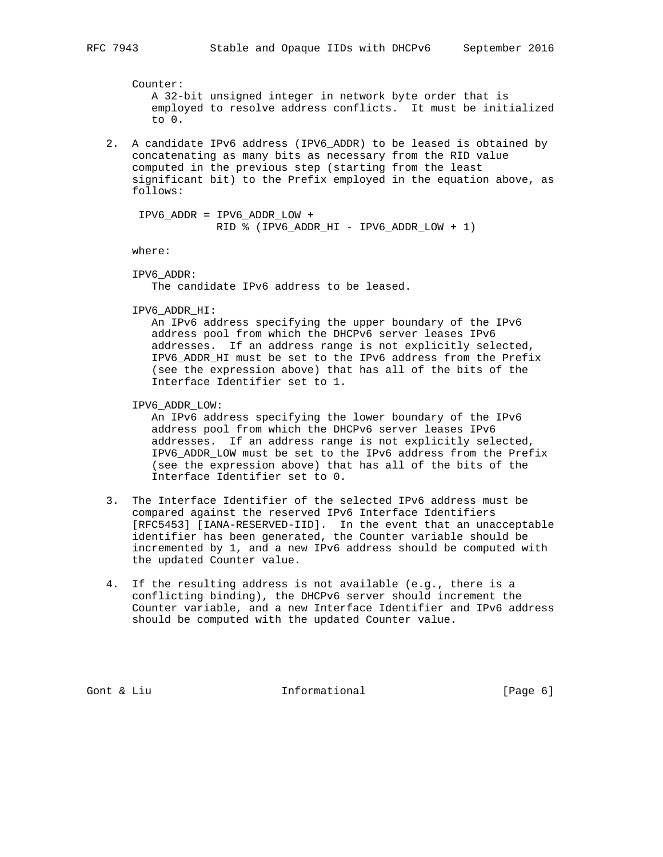Counter: A 32-bit unsigned integer in network byte order that is employed to resolve address conflicts. It must be initialized to 0.

 2. A candidate IPv6 address (IPV6\_ADDR) to be leased is obtained by concatenating as many bits as necessary from the RID value computed in the previous step (starting from the least significant bit) to the Prefix employed in the equation above, as follows:

```
 IPV6_ADDR = IPV6_ADDR_LOW +
             RID % (IPV6_ADDR_HI - IPV6_ADDR_LOW + 1)
```
where:

```
 IPV6_ADDR:
    The candidate IPv6 address to be leased.
```
IPV6\_ADDR\_HI:

 An IPv6 address specifying the upper boundary of the IPv6 address pool from which the DHCPv6 server leases IPv6 addresses. If an address range is not explicitly selected, IPV6\_ADDR\_HI must be set to the IPv6 address from the Prefix (see the expression above) that has all of the bits of the Interface Identifier set to 1.

IPV6\_ADDR\_LOW:

 An IPv6 address specifying the lower boundary of the IPv6 address pool from which the DHCPv6 server leases IPv6 addresses. If an address range is not explicitly selected, IPV6\_ADDR\_LOW must be set to the IPv6 address from the Prefix (see the expression above) that has all of the bits of the Interface Identifier set to 0.

- 3. The Interface Identifier of the selected IPv6 address must be compared against the reserved IPv6 Interface Identifiers [RFC5453] [IANA-RESERVED-IID]. In the event that an unacceptable identifier has been generated, the Counter variable should be incremented by 1, and a new IPv6 address should be computed with the updated Counter value.
- 4. If the resulting address is not available (e.g., there is a conflicting binding), the DHCPv6 server should increment the Counter variable, and a new Interface Identifier and IPv6 address should be computed with the updated Counter value.

Gont & Liu and Informational (Page 6)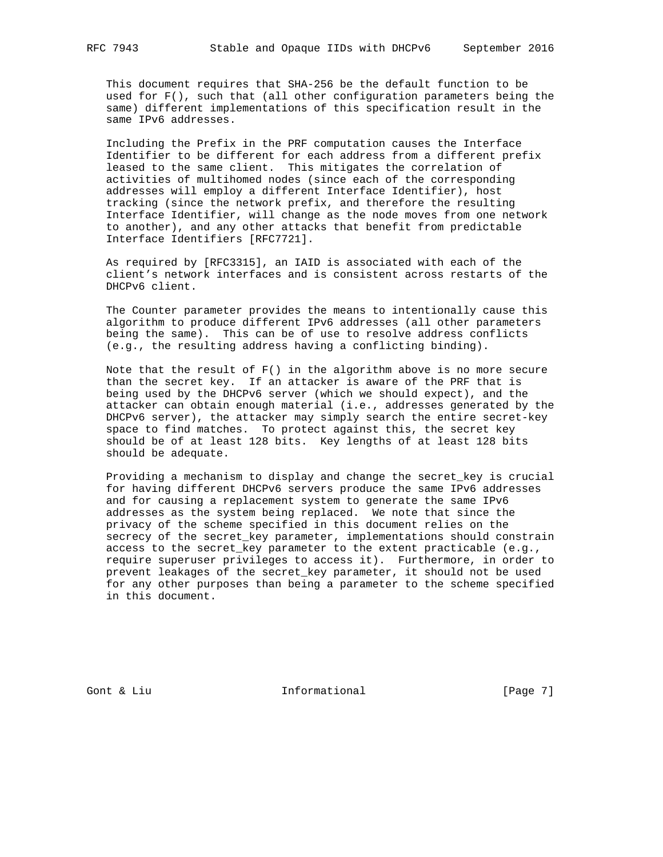This document requires that SHA-256 be the default function to be used for F(), such that (all other configuration parameters being the same) different implementations of this specification result in the same IPv6 addresses.

 Including the Prefix in the PRF computation causes the Interface Identifier to be different for each address from a different prefix leased to the same client. This mitigates the correlation of activities of multihomed nodes (since each of the corresponding addresses will employ a different Interface Identifier), host tracking (since the network prefix, and therefore the resulting Interface Identifier, will change as the node moves from one network to another), and any other attacks that benefit from predictable Interface Identifiers [RFC7721].

 As required by [RFC3315], an IAID is associated with each of the client's network interfaces and is consistent across restarts of the DHCPv6 client.

 The Counter parameter provides the means to intentionally cause this algorithm to produce different IPv6 addresses (all other parameters being the same). This can be of use to resolve address conflicts (e.g., the resulting address having a conflicting binding).

Note that the result of  $F()$  in the algorithm above is no more secure than the secret key. If an attacker is aware of the PRF that is being used by the DHCPv6 server (which we should expect), and the attacker can obtain enough material (i.e., addresses generated by the DHCPv6 server), the attacker may simply search the entire secret-key space to find matches. To protect against this, the secret key should be of at least 128 bits. Key lengths of at least 128 bits should be adequate.

 Providing a mechanism to display and change the secret\_key is crucial for having different DHCPv6 servers produce the same IPv6 addresses and for causing a replacement system to generate the same IPv6 addresses as the system being replaced. We note that since the privacy of the scheme specified in this document relies on the secrecy of the secret\_key parameter, implementations should constrain access to the secret\_key parameter to the extent practicable (e.g., require superuser privileges to access it). Furthermore, in order to prevent leakages of the secret\_key parameter, it should not be used for any other purposes than being a parameter to the scheme specified in this document.

Gont & Liu  $\qquad \qquad$  Informational [Page 7]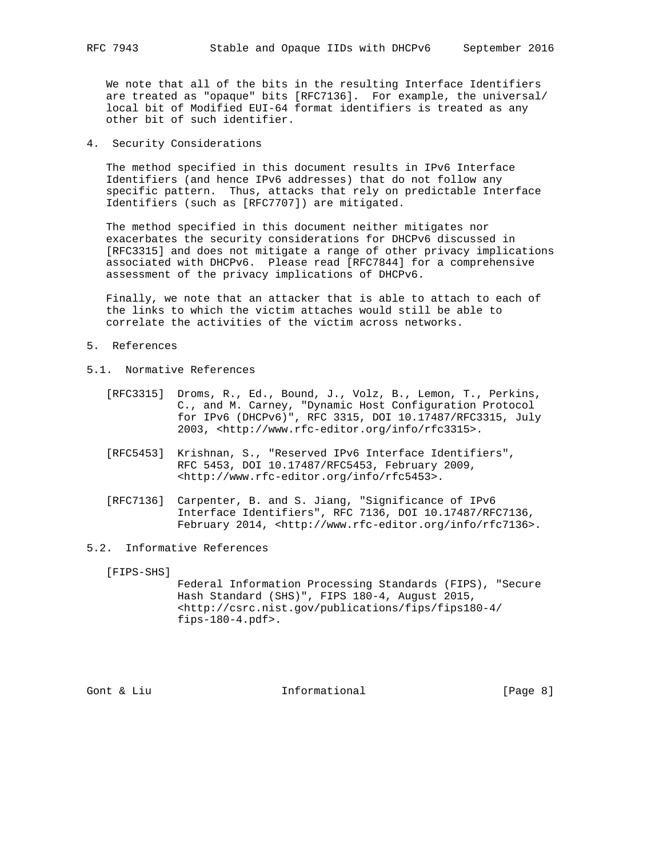We note that all of the bits in the resulting Interface Identifiers are treated as "opaque" bits [RFC7136]. For example, the universal/ local bit of Modified EUI-64 format identifiers is treated as any other bit of such identifier.

4. Security Considerations

 The method specified in this document results in IPv6 Interface Identifiers (and hence IPv6 addresses) that do not follow any specific pattern. Thus, attacks that rely on predictable Interface Identifiers (such as [RFC7707]) are mitigated.

 The method specified in this document neither mitigates nor exacerbates the security considerations for DHCPv6 discussed in [RFC3315] and does not mitigate a range of other privacy implications associated with DHCPv6. Please read [RFC7844] for a comprehensive assessment of the privacy implications of DHCPv6.

 Finally, we note that an attacker that is able to attach to each of the links to which the victim attaches would still be able to correlate the activities of the victim across networks.

- 5. References
- 5.1. Normative References
	- [RFC3315] Droms, R., Ed., Bound, J., Volz, B., Lemon, T., Perkins, C., and M. Carney, "Dynamic Host Configuration Protocol for IPv6 (DHCPv6)", RFC 3315, DOI 10.17487/RFC3315, July 2003, <http://www.rfc-editor.org/info/rfc3315>.
	- [RFC5453] Krishnan, S., "Reserved IPv6 Interface Identifiers", RFC 5453, DOI 10.17487/RFC5453, February 2009, <http://www.rfc-editor.org/info/rfc5453>.
	- [RFC7136] Carpenter, B. and S. Jiang, "Significance of IPv6 Interface Identifiers", RFC 7136, DOI 10.17487/RFC7136, February 2014, <http://www.rfc-editor.org/info/rfc7136>.
- 5.2. Informative References

[FIPS-SHS]

 Federal Information Processing Standards (FIPS), "Secure Hash Standard (SHS)", FIPS 180-4, August 2015, <http://csrc.nist.gov/publications/fips/fips180-4/ fips-180-4.pdf>.

Gont & Liu  $\qquad \qquad$  Informational [Page 8]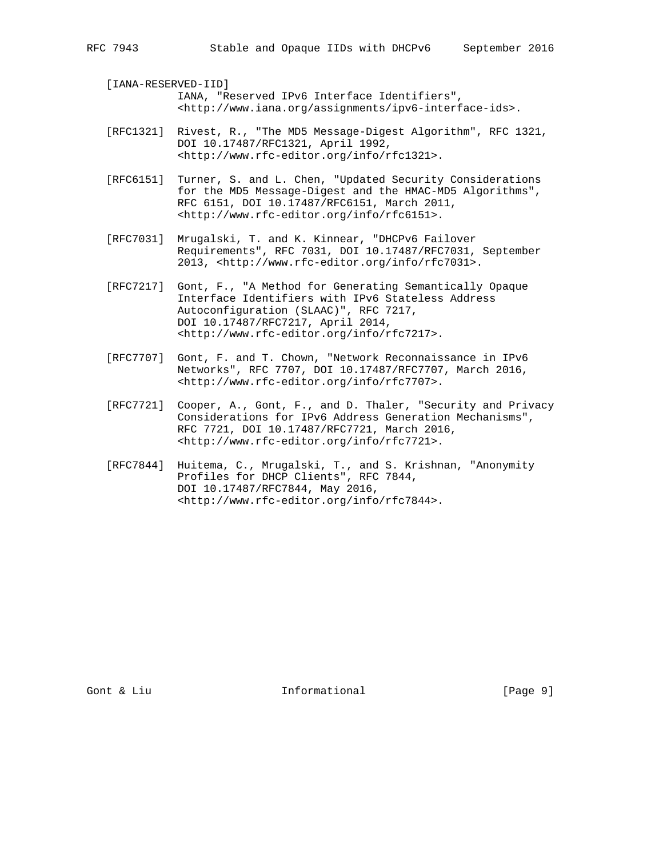[IANA-RESERVED-IID] IANA, "Reserved IPv6 Interface Identifiers",

- <http://www.iana.org/assignments/ipv6-interface-ids>.
- [RFC1321] Rivest, R., "The MD5 Message-Digest Algorithm", RFC 1321, DOI 10.17487/RFC1321, April 1992, <http://www.rfc-editor.org/info/rfc1321>.
- [RFC6151] Turner, S. and L. Chen, "Updated Security Considerations for the MD5 Message-Digest and the HMAC-MD5 Algorithms", RFC 6151, DOI 10.17487/RFC6151, March 2011, <http://www.rfc-editor.org/info/rfc6151>.
- [RFC7031] Mrugalski, T. and K. Kinnear, "DHCPv6 Failover Requirements", RFC 7031, DOI 10.17487/RFC7031, September 2013, <http://www.rfc-editor.org/info/rfc7031>.
- [RFC7217] Gont, F., "A Method for Generating Semantically Opaque Interface Identifiers with IPv6 Stateless Address Autoconfiguration (SLAAC)", RFC 7217, DOI 10.17487/RFC7217, April 2014, <http://www.rfc-editor.org/info/rfc7217>.
- [RFC7707] Gont, F. and T. Chown, "Network Reconnaissance in IPv6 Networks", RFC 7707, DOI 10.17487/RFC7707, March 2016, <http://www.rfc-editor.org/info/rfc7707>.
- [RFC7721] Cooper, A., Gont, F., and D. Thaler, "Security and Privacy Considerations for IPv6 Address Generation Mechanisms", RFC 7721, DOI 10.17487/RFC7721, March 2016, <http://www.rfc-editor.org/info/rfc7721>.
- [RFC7844] Huitema, C., Mrugalski, T., and S. Krishnan, "Anonymity Profiles for DHCP Clients", RFC 7844, DOI 10.17487/RFC7844, May 2016, <http://www.rfc-editor.org/info/rfc7844>.

Gont & Liu  $\qquad \qquad$  Informational [Page 9]